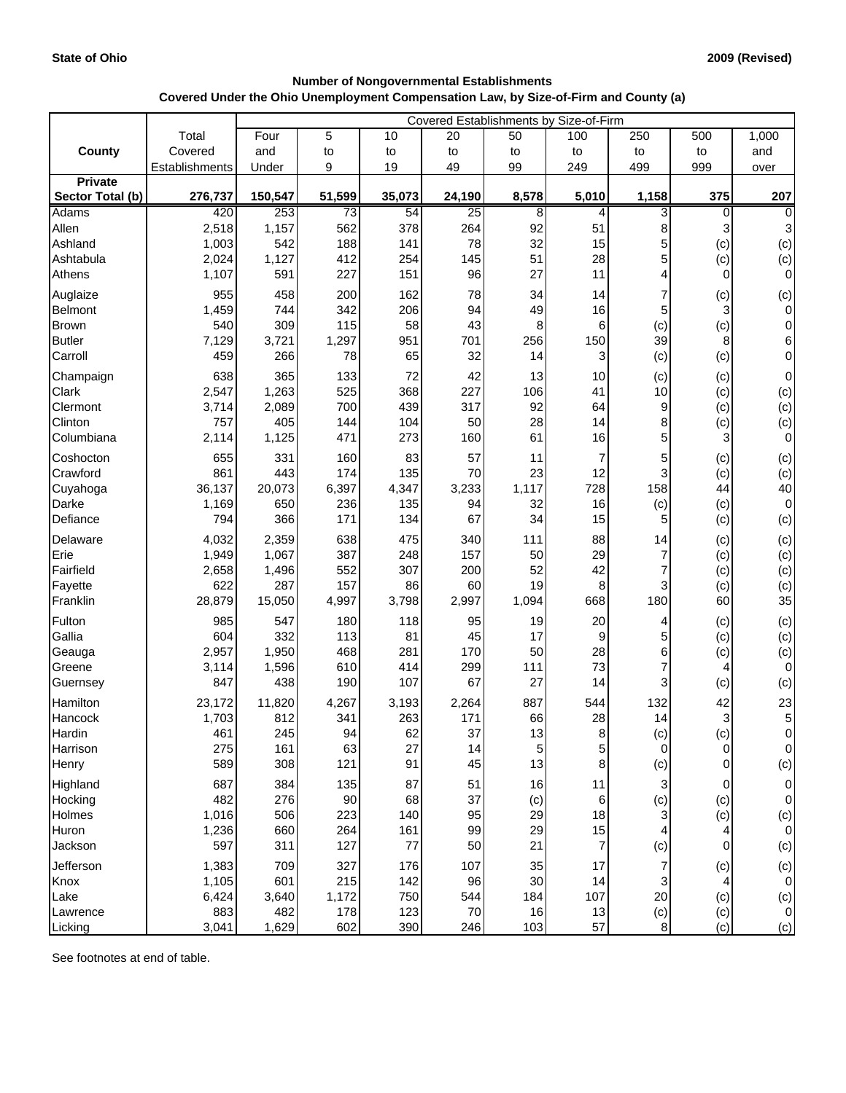## **Number of Nongovernmental Establishments Covered Under the Ohio Unemployment Compensation Law, by Size-of-Firm and County (a)**

|                  |                | Covered Establishments by Size-of-Firm |                 |        |        |                |                         |             |                |                 |  |
|------------------|----------------|----------------------------------------|-----------------|--------|--------|----------------|-------------------------|-------------|----------------|-----------------|--|
|                  | Total          | Four                                   | 5               | 10     | 20     | 50             | 100                     | 250         | 500            | 1,000           |  |
| County           | Covered        | and                                    | to              | to     | to     | to             | to                      | to          | to             | and             |  |
|                  | Establishments | Under                                  | 9               | 19     | 49     | 99             | 249                     | 499         | 999            | over            |  |
| <b>Private</b>   |                |                                        |                 |        |        |                |                         |             |                |                 |  |
| Sector Total (b) | 276,737        | 150,547                                | 51,599          | 35,073 | 24,190 | 8,578          | 5,010                   | 1,158       | 375            | 207             |  |
| Adams            | 420            | 253                                    | $\overline{73}$ | 54     | 25     | 8              | 4                       | 3           | $\Omega$       | $\overline{0}$  |  |
| Allen            | 2,518          | 1,157                                  | 562             | 378    | 264    | 92             | 51                      | 8           |                | 3               |  |
| Ashland          | 1,003          | 542                                    | 188             | 141    | 78     | 32             | 15                      | 5           | (c)            | (c)             |  |
| Ashtabula        | 2,024          | 1,127                                  | 412             | 254    | 145    | 51             | 28                      | 5           | (c)            | (c)             |  |
| Athens           | 1,107          | 591                                    | 227             | 151    | 96     | 27             | 11                      | 4           | $\overline{0}$ | $\overline{0}$  |  |
| Auglaize         | 955            | 458                                    | 200             | 162    | 78     | 34             | 14                      |             | (c)            | (c)             |  |
| <b>Belmont</b>   | 1,459          | 744                                    | 342             | 206    | 94     | 49             | 16                      | 5           | 3              | $\overline{0}$  |  |
| <b>Brown</b>     | 540            | 309                                    | 115             | 58     | 43     | 8              | 6                       | (c)         | (c)            | $\overline{0}$  |  |
| <b>Butler</b>    | 7,129          | 3,721                                  | 1,297           | 951    | 701    | 256            | 150                     | 39          | 8              | 6               |  |
| Carroll          | 459            | 266                                    | 78              | 65     | 32     | 14             | 3                       | (c)         | (c)            | $\overline{0}$  |  |
| Champaign        | 638            | 365                                    | 133             | 72     | 42     | 13             | 10                      | (c)         | (c)            | $\overline{0}$  |  |
| Clark            | 2,547          | 1,263                                  | 525             | 368    | 227    | 106            | 41                      | 10          | (c)            | (c)             |  |
| Clermont         | 3,714          | 2,089                                  | 700             | 439    | 317    | 92             | 64                      | 9           | (c)            | (c)             |  |
| Clinton          | 757            | 405                                    | 144             | 104    | 50     | 28             | 14                      | 8           | (c)            | (c)             |  |
| Columbiana       | 2,114          | 1,125                                  | 471             | 273    | 160    | 61             | 16                      | 5           | 3              | $\overline{O}$  |  |
| Coshocton        | 655            | 331                                    | 160             | 83     | 57     | 11             | $\overline{\mathbf{r}}$ | 5           | (c)            | (c)             |  |
| Crawford         | 861            | 443                                    | 174             | 135    | 70     | 23             | 12                      |             | (c)            | (c)             |  |
| Cuyahoga         | 36,137         | 20,073                                 | 6,397           | 4,347  | 3,233  | 1,117          | 728                     | 158         | 44             | 40              |  |
| Darke            | 1,169          | 650                                    | 236             | 135    | 94     | 32             | 16                      | (c)         | (c)            | $\overline{0}$  |  |
| Defiance         | 794            | 366                                    | 171             | 134    | 67     | 34             | 15                      | 5           | (c)            | (c)             |  |
| Delaware         | 4,032          | 2,359                                  | 638             | 475    | 340    | 111            | 88                      | 14          | (c)            | (c)             |  |
| Erie             | 1,949          | 1,067                                  | 387             | 248    | 157    | 50             | 29                      | 7           | (c)            | (c)             |  |
| Fairfield        | 2,658          | 1,496                                  | 552             | 307    | 200    | 52             | 42                      |             | (c)            | (c)             |  |
| Fayette          | 622            | 287                                    | 157             | 86     | 60     | 19             | 8                       | 3           | (c)            | (c)             |  |
| Franklin         | 28,879         | 15,050                                 | 4,997           | 3,798  | 2,997  | 1,094          | 668                     | 180         | 60             | 35              |  |
| Fulton           | 985            | 547                                    | 180             | 118    | 95     | 19             | 20                      | 4           | (c)            | (c)             |  |
| Gallia           | 604            | 332                                    | 113             | 81     | 45     | 17             | 9                       |             | (c)            | (c)             |  |
| Geauga           | 2,957          | 1,950                                  | 468             | 281    | 170    | 50             | 28                      | 6           | (c)            | (c)             |  |
| Greene           | 3,114          | 1,596                                  | 610             | 414    | 299    | 111            | 73                      |             |                | $\overline{0}$  |  |
| Guernsey         | 847            | 438                                    | 190             | 107    | 67     | 27             | 14                      |             | (c)            | (c)             |  |
| Hamilton         | 23,172         | 11,820                                 | 4,267           | 3,193  | 2,264  | 887            | 544                     | 132         | 42             | 23              |  |
| Hancock          | 1,703          | 812                                    | 341             | 263    | 171    | 66             | 28                      | 14          | 3              | $5\overline{)}$ |  |
| Hardin           | 461            | 245                                    | 94              | 62     | 37     | 13             | 8                       | (c)         | (c)            | $\overline{0}$  |  |
| Harrison         | 275            | 161                                    | 63              | 27     | 14     | $\overline{5}$ | 5                       | $\mathbf 0$ | $\overline{0}$ | $\overline{0}$  |  |
| Henry            | 589            | 308                                    | 121             | 91     | 45     | 13             | 8                       | (c)         | $\overline{0}$ | (c)             |  |
| Highland         | 687            | 384                                    | 135             | 87     | 51     | 16             | 11                      | 3           | $\mathbf 0$    | $\overline{0}$  |  |
| Hocking          | 482            | 276                                    | 90              | 68     | 37     | (c)            | $\,6$                   | (c)         | (c)            | $\overline{0}$  |  |
| Holmes           | 1,016          | 506                                    | 223             | 140    | 95     | 29             | 18                      |             | (c)            | (c)             |  |
| Huron            | 1,236          | 660                                    | 264             | 161    | 99     | 29             | 15                      | 4           | 4              | $\overline{0}$  |  |
| Jackson          | 597            | 311                                    | 127             | 77     | 50     | 21             | $\overline{7}$          | (c)         | $\mathbf 0$    | (c)             |  |
| Jefferson        | 1,383          | 709                                    | 327             | 176    | 107    | 35             | 17                      | 7           | (c)            | (c)             |  |
| Knox             | 1,105          | 601                                    | 215             | 142    | 96     | 30             | 14                      | 3           |                | $\overline{0}$  |  |
| Lake             | 6,424          | 3,640                                  | 1,172           | 750    | 544    | 184            | 107                     | 20          | (c)            | (c)             |  |
| Lawrence         | 883            | 482                                    | 178             | 123    | 70     | 16             | 13                      | (c)         | (c)            | $\overline{0}$  |  |
| Licking          | 3,041          | 1,629                                  | 602             | 390    | 246    | 103            | 57                      | 8           | (c)            | (c)             |  |

See footnotes at end of table.